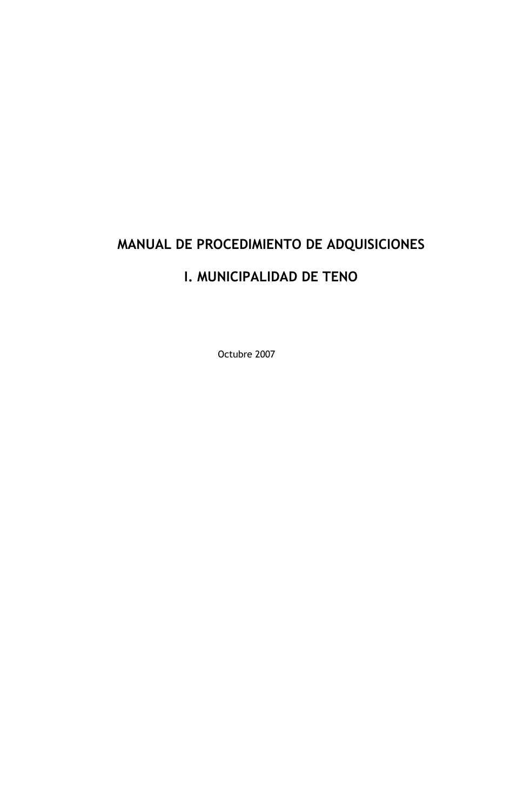# MANUAL DE PROCEDIMIENTO DE ADQUISICIONES

## I. MUNICIPALIDAD DE TENO

Octubre 2007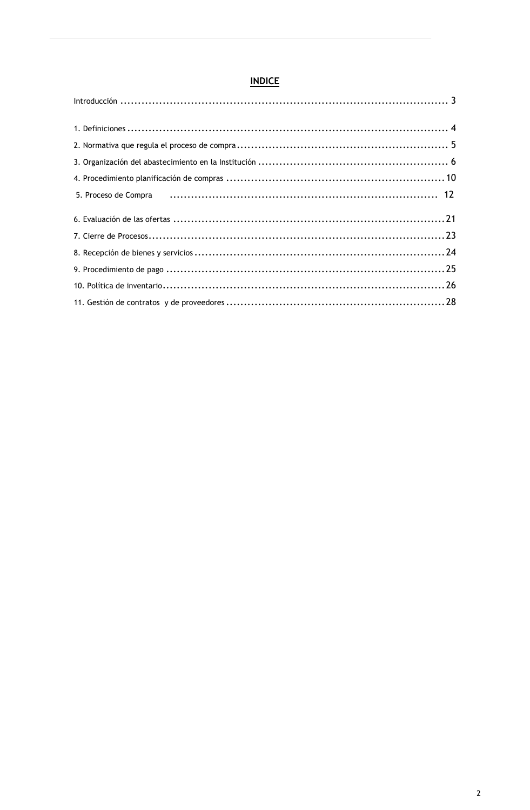## **INDICE**

| 5. Proceso de Compra (and all compression compared and all compression of the comprared and all compression of $12$ |  |
|---------------------------------------------------------------------------------------------------------------------|--|
|                                                                                                                     |  |
|                                                                                                                     |  |
|                                                                                                                     |  |
|                                                                                                                     |  |
|                                                                                                                     |  |
|                                                                                                                     |  |
|                                                                                                                     |  |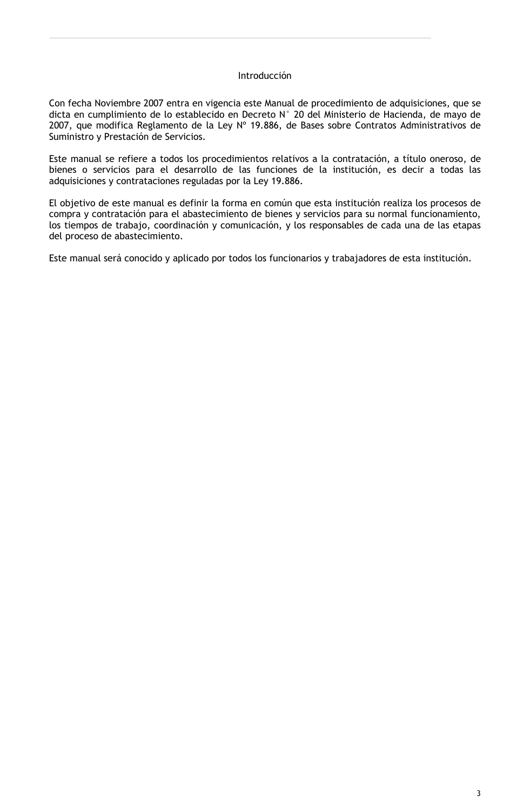#### Introducción

Con fecha Noviembre 2007 entra en vigencia este Manual de procedimiento de adquisiciones, que se dicta en cumplimiento de lo establecido en Decreto N° 20 del Ministerio de Hacienda, de mayo de 2007, que modifica Reglamento de la Ley Nº 19.886, de Bases sobre Contratos Administrativos de Suministro y Prestación de Servicios.

Este manual se refiere a todos los procedimientos relativos a la contratación, a título oneroso, de bienes o servicios para el desarrollo de las funciones de la institución, es decir a todas las adquisiciones y contrataciones reguladas por la Ley 19.886.

El objetivo de este manual es definir la forma en común que esta institución realiza los procesos de compra y contratación para el abastecimiento de bienes y servicios para su normal funcionamiento, los tiempos de trabajo, coordinación y comunicación, y los responsables de cada una de las etapas del proceso de abastecimiento.

Este manual será conocido y aplicado por todos los funcionarios y trabajadores de esta institución.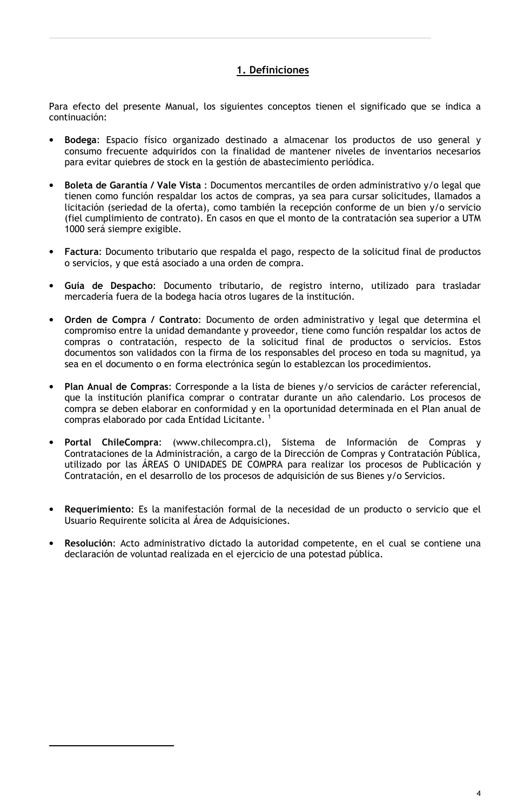## 1. Definiciones

Para efecto del presente Manual, los siguientes conceptos tienen el significado que se indica a continuación:

- Bodega: Espacio físico organizado destinado a almacenar los productos de uso general y consumo frecuente adquiridos con la finalidad de mantener niveles de inventarios necesarios para evitar quiebres de stock en la gestión de abastecimiento periódica.
- Boleta de Garantía / Vale Vista : Documentos mercantiles de orden administrativo y/o legal que tienen como función respaldar los actos de compras, ya sea para cursar solicitudes, llamados a licitación (seriedad de la oferta), como también la recepción conforme de un bien y/o servicio (fiel cumplimiento de contrato). En casos en que el monto de la contratación sea superior a UTM 1000 será siempre exigible.
- Factura: Documento tributario que respalda el pago, respecto de la solicitud final de productos o servicios, y que está asociado a una orden de compra.
- Guía de Despacho: Documento tributario, de registro interno, utilizado para trasladar mercadería fuera de la bodega hacia otros lugares de la institución.
- Orden de Compra / Contrato: Documento de orden administrativo y legal que determina el compromiso entre la unidad demandante y proveedor, tiene como función respaldar los actos de compras o contratación, respecto de la solicitud final de productos o servicios. Estos documentos son validados con la firma de los responsables del proceso en toda su magnitud, ya sea en el documento o en forma electrónica según lo establezcan los procedimientos.
- Plan Anual de Compras: Corresponde a la lista de bienes y/o servicios de carácter referencial, que la institución planifica comprar o contratar durante un año calendario. Los procesos de compra se deben elaborar en conformidad y en la oportunidad determinada en el Plan anual de compras elaborado por cada Entidad Licitante.<sup>1</sup>
- Portal ChileCompra: (www.chilecompra.cl), Sistema de Información de Compras y Contrataciones de la Administración, a cargo de la Dirección de Compras y Contratación Pública, utilizado por las ÁREAS O UNIDADES DE COMPRA para realizar los procesos de Publicación y Contratación, en el desarrollo de los procesos de adquisición de sus Bienes y/o Servicios.
- Requerimiento: Es la manifestación formal de la necesidad de un producto o servicio que el Usuario Requirente solicita al Área de Adquisiciones.
- Resolución: Acto administrativo dictado la autoridad competente, en el cual se contiene una declaración de voluntad realizada en el ejercicio de una potestad pública.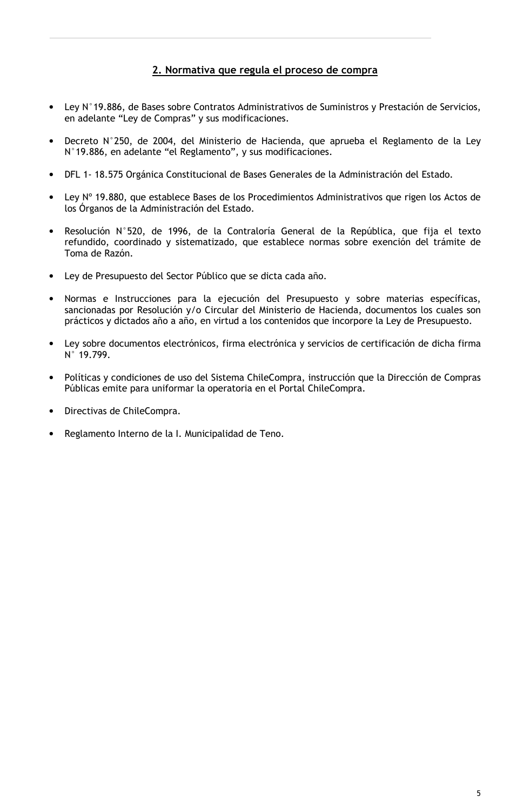## 2. Normativa que regula el proceso de compra

- Ley N°19.886, de Bases sobre Contratos Administrativos de Suministros y Prestación de Servicios, en adelante "Ley de Compras" y sus modificaciones.
- Decreto N°250, de 2004, del Ministerio de Hacienda, que aprueba el Reglamento de la Ley N°19.886, en adelante "el Reglamento", y sus modificaciones.
- DFL 1-18.575 Orgánica Constitucional de Bases Generales de la Administración del Estado.
- Ley N° 19.880, que establece Bases de los Procedimientos Administrativos que rigen los Actos de los Órganos de la Administración del Estado.
- Resolución N°520, de 1996, de la Contraloría General de la República, que fija el texto refundido, coordinado y sistematizado, que establece normas sobre exención del trámite de Toma de Razón.
- Ley de Presupuesto del Sector Público que se dicta cada año.
- Normas e Instrucciones para la ejecución del Presupuesto y sobre materias específicas, sancionadas por Resolución y/o Circular del Ministerio de Hacienda, documentos los cuales son prácticos y dictados año a año, en virtud a los contenidos que incorpore la Ley de Presupuesto.
- Ley sobre documentos electrónicos, firma electrónica y servicios de certificación de dicha firma N° 19.799.
- Políticas y condiciones de uso del Sistema ChileCompra, instrucción que la Dirección de Compras Públicas emite para uniformar la operatoria en el Portal ChileCompra.
- Directivas de ChileCompra.
- Reglamento Interno de la I. Municipalidad de Teno.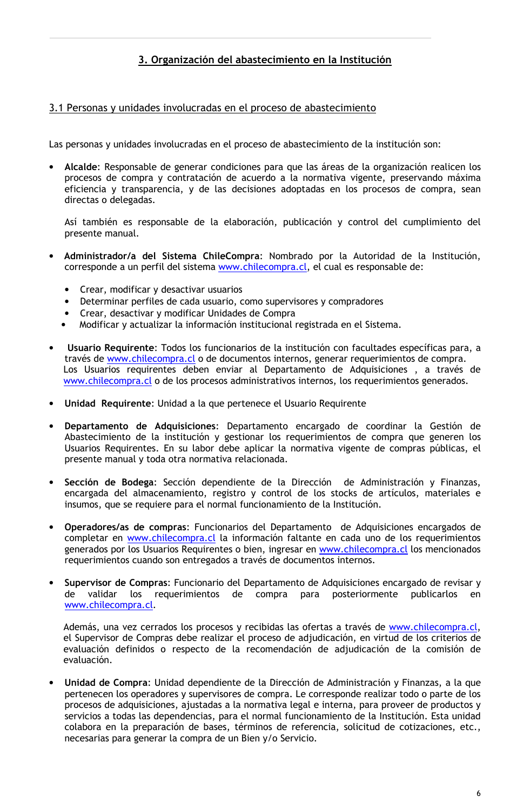## 3. Organización del abastecimiento en la Institución

## 3.1 Personas y unidades involucradas en el proceso de abastecimiento

Las personas y unidades involucradas en el proceso de abastecimiento de la institución son:

Alcalde: Responsable de generar condiciones para que las áreas de la organización realicen los procesos de compra y contratación de acuerdo a la normativa vigente, preservando máxima eficiencia y transparencia, y de las decisiones adoptadas en los procesos de compra, sean directas o delegadas.

Así también es responsable de la elaboración, publicación y control del cumplimiento del presente manual.

- Administrador/a del Sistema ChileCompra: Nombrado por la Autoridad de la Institución, corresponde a un perfil del sistema www.chilecompra.cl, el cual es responsable de:
	- Crear, modificar y desactivar usuarios
	- Determinar perfiles de cada usuario, como supervisores y compradores
	- Crear, desactivar y modificar Unidades de Compra
	- Modificar y actualizar la información institucional registrada en el Sistema.
- Usuario Requirente: Todos los funcionarios de la institución con facultades específicas para, a través de www.chilecompra.cl o de documentos internos, generar requerimientos de compra. Los Usuarios requirentes deben enviar al Departamento de Adquisiciones, a través de www.chilecompra.cl o de los procesos administrativos internos, los requerimientos generados.
- Unidad Requirente: Unidad a la que pertenece el Usuario Requirente
- Departamento de Adquisiciones: Departamento encargado de coordinar la Gestión de Abastecimiento de la institución y gestionar los requerimientos de compra que generen los Usuarios Requirentes. En su labor debe aplicar la normativa vigente de compras públicas, el presente manual y toda otra normativa relacionada.
- Sección de Bodega: Sección dependiente de la Dirección de Administración y Finanzas, encargada del almacenamiento, registro y control de los stocks de artículos, materiales e insumos, que se requiere para el normal funcionamiento de la Institución.
- Operadores/as de compras: Funcionarios del Departamento de Adquisiciones encargados de completar en www.chilecompra.cl la información faltante en cada uno de los requerimientos generados por los Usuarios Requirentes o bien, ingresar en www.chilecompra.cl los mencionados requerimientos cuando son entregados a través de documentos internos.
- Supervisor de Compras: Funcionario del Departamento de Adquisiciones encargado de revisar y de validar los requerimientos de compra para posteriormente publicarlos  $en$ www.chilecompra.cl.

Además, una vez cerrados los procesos y recibidas las ofertas a través de www.chilecompra.cl, el Supervisor de Compras debe realizar el proceso de adjudicación, en virtud de los criterios de evaluación definidos o respecto de la recomendación de adjudicación de la comisión de evaluación.

Unidad de Compra: Unidad dependiente de la Dirección de Administración y Finanzas, a la que pertenecen los operadores y supervisores de compra. Le corresponde realizar todo o parte de los procesos de adquisiciones, ajustadas a la normativa legal e interna, para proveer de productos y servicios a todas las dependencias, para el normal funcionamiento de la Institución. Esta unidad colabora en la preparación de bases, términos de referencia, solicitud de cotizaciones, etc., necesarias para generar la compra de un Bien y/o Servicio.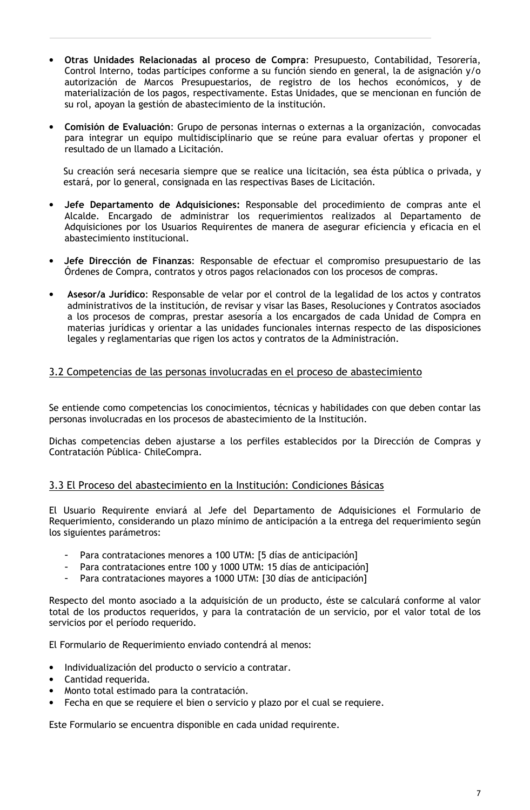- Otras Unidades Relacionadas al proceso de Compra: Presupuesto, Contabilidad, Tesorería, Control Interno, todas partícipes conforme a su función siendo en general, la de asignación y/o autorización de Marcos Presupuestarios, de registro de los hechos económicos, y de materialización de los pagos, respectivamente. Estas Unidades, que se mencionan en función de su rol, apoyan la gestión de abastecimiento de la institución.
- Comisión de Evaluación: Grupo de personas internas o externas a la organización, convocadas para integrar un equipo multidisciplinario que se reúne para evaluar ofertas y proponer el resultado de un llamado a Licitación.

Su creación será necesaria siempre que se realice una licitación, sea ésta pública o privada, y estará, por lo general, consignada en las respectivas Bases de Licitación.

- Jefe Departamento de Adquisiciones: Responsable del procedimiento de compras ante el Alcalde. Encargado de administrar los requerimientos realizados al Departamento de Adquisiciones por los Usuarios Requirentes de manera de asegurar eficiencia y eficacia en el abastecimiento institucional.
- Jefe Dirección de Finanzas: Responsable de efectuar el compromiso presupuestario de las Órdenes de Compra, contratos y otros pagos relacionados con los procesos de compras.
- Asesor/a Jurídico: Responsable de velar por el control de la legalidad de los actos y contratos administrativos de la institución, de revisar y visar las Bases, Resoluciones y Contratos asociados a los procesos de compras, prestar asesoría a los encargados de cada Unidad de Compra en materias jurídicas y orientar a las unidades funcionales internas respecto de las disposiciones legales y reglamentarias que rigen los actos y contratos de la Administración.

## 3.2 Competencias de las personas involucradas en el proceso de abastecimiento

Se entiende como competencias los conocimientos, técnicas y habilidades con que deben contar las personas involucradas en los procesos de abastecimiento de la Institución.

Dichas competencias deben ajustarse a los perfiles establecidos por la Dirección de Compras y Contratación Pública- ChileCompra.

## 3.3 El Proceso del abastecimiento en la Institución: Condiciones Básicas

El Usuario Requirente enviará al Jefe del Departamento de Adquisiciones el Formulario de Requerimiento, considerando un plazo mínimo de anticipación a la entrega del requerimiento según los siguientes parámetros:

- Para contrataciones menores a 100 UTM: [5 días de anticipación]
- Para contrataciones entre 100 y 1000 UTM: 15 días de anticipación]
- Para contrataciones mayores a 1000 UTM: [30 días de anticipación]

Respecto del monto asociado a la adquisición de un producto, éste se calculará conforme al valor total de los productos requeridos, y para la contratación de un servicio, por el valor total de los servicios por el período requerido.

El Formulario de Requerimiento enviado contendrá al menos:

- Individualización del producto o servicio a contratar.  $\bullet$
- Cantidad requerida.
- Monto total estimado para la contratación.
- Fecha en que se requiere el bien o servicio y plazo por el cual se requiere.

Este Formulario se encuentra disponible en cada unidad requirente.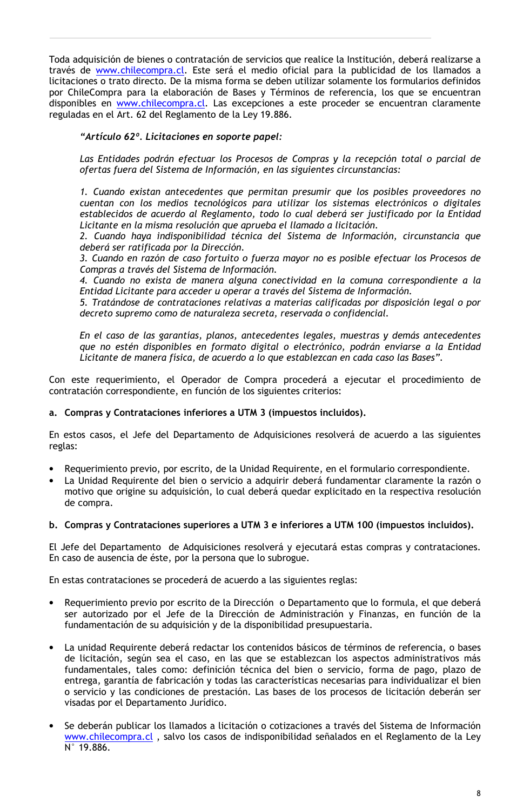Toda adquisición de bienes o contratación de servicios que realice la Institución, deberá realizarse a través de **www.chilecompra.cl.** Este será el medio oficial para la publicidad de los llamados a licitaciones o trato directo. De la misma forma se deben utilizar solamente los formularios definidos por ChileCompra para la elaboración de Bases y Términos de referencia, los que se encuentran disponibles en www.chilecompra.cl. Las excepciones a este proceder se encuentran claramente reguladas en el Art. 62 del Reglamento de la Ley 19.886.

"Artículo 62º. Licitaciones en soporte papel:

Las Entidades podrán efectuar los Procesos de Compras y la recepción total o parcial de ofertas fuera del Sistema de Información, en las siguientes circunstancias:

1. Cuando existan antecedentes que permitan presumir que los posibles proveedores no cuentan con los medios tecnológicos para utilizar los sistemas electrónicos o digitales establecidos de acuerdo al Reglamento, todo lo cual deberá ser justificado por la Entidad Licitante en la misma resolución que aprueba el llamado a licitación.

2. Cuando haya indisponibilidad técnica del Sistema de Información, circunstancia que deberá ser ratificada por la Dirección.

3. Cuando en razón de caso fortuito o fuerza mayor no es posible efectuar los Procesos de Compras a través del Sistema de Información.

4. Cuando no exista de manera alguna conectividad en la comuna correspondiente a la Entidad Licitante para acceder u operar a través del Sistema de Información.

5. Tratándose de contrataciones relativas a materias calificadas por disposición legal o por decreto supremo como de naturaleza secreta, reservada o confidencial.

En el caso de las garantías, planos, antecedentes legales, muestras y demás antecedentes que no estén disponibles en formato digital o electrónico, podrán enviarse a la Entidad Licitante de manera física, de acuerdo a lo que establezcan en cada caso las Bases".

Con este requerimiento, el Operador de Compra procederá a ejecutar el procedimiento de contratación correspondiente, en función de los siguientes criterios:

#### a. Compras y Contrataciones inferiores a UTM 3 (impuestos incluidos).

En estos casos, el Jefe del Departamento de Adquisiciones resolverá de acuerdo a las siguientes reglas:

- Requerimiento previo, por escrito, de la Unidad Requirente, en el formulario correspondiente.
- La Unidad Requirente del bien o servicio a adquirir deberá fundamentar claramente la razón o motivo que origine su adquisición, lo cual deberá quedar explicitado en la respectiva resolución de compra.
- b. Compras y Contrataciones superiores a UTM 3 e inferiores a UTM 100 (impuestos incluidos).

El Jefe del Departamento de Adquisiciones resolverá y ejecutará estas compras y contrataciones. En caso de ausencia de éste, por la persona que lo subrogue.

En estas contrataciones se procederá de acuerdo a las siguientes reglas:

- Requerimiento previo por escrito de la Dirección o Departamento que lo formula, el que deberá ser autorizado por el Jefe de la Dirección de Administración y Finanzas, en función de la fundamentación de su adquisición y de la disponibilidad presupuestaria.
- La unidad Requirente deberá redactar los contenidos básicos de términos de referencia, o bases de licitación, según sea el caso, en las que se establezcan los aspectos administrativos más fundamentales, tales como: definición técnica del bien o servicio, forma de pago, plazo de entrega, garantía de fabricación y todas las características necesarias para individualizar el bien o servicio y las condiciones de prestación. Las bases de los procesos de licitación deberán ser visadas por el Departamento Jurídico.
- Se deberán publicar los llamados a licitación o cotizaciones a través del Sistema de Información www.chilecompra.cl, salvo los casos de indisponibilidad señalados en el Reglamento de la Ley N° 19.886.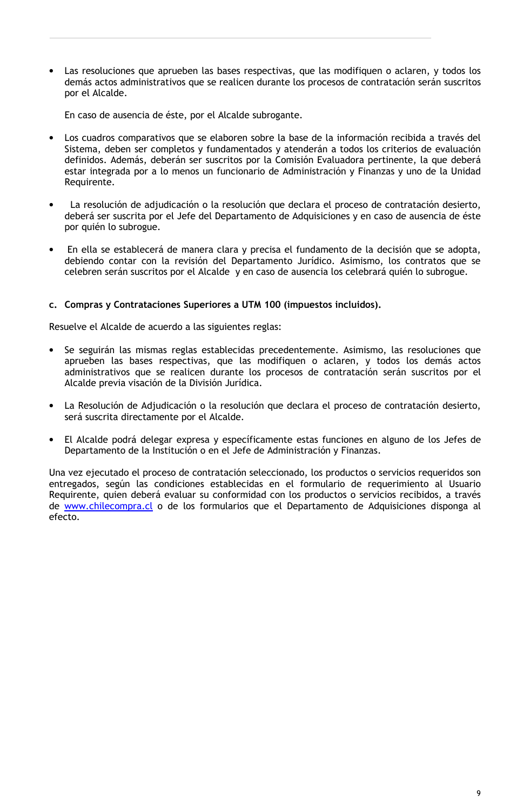Las resoluciones que aprueben las bases respectivas, que las modifiquen o aclaren, y todos los demás actos administrativos que se realicen durante los procesos de contratación serán suscritos por el Alcalde.

En caso de ausencia de éste, por el Alcalde subrogante.

- Los cuadros comparativos que se elaboren sobre la base de la información recibida a través del Sistema, deben ser completos y fundamentados y atenderán a todos los criterios de evaluación definidos. Además, deberán ser suscritos por la Comisión Evaluadora pertinente, la que deberá estar integrada por a lo menos un funcionario de Administración y Finanzas y uno de la Unidad Requirente.
- La resolución de adjudicación o la resolución que declara el proceso de contratación desierto, deberá ser suscrita por el Jefe del Departamento de Adquisiciones y en caso de ausencia de éste por quién lo subrogue.
- En ella se establecerá de manera clara y precisa el fundamento de la decisión que se adopta, debiendo contar con la revisión del Departamento Jurídico. Asimismo, los contratos que se celebren serán suscritos por el Alcalde y en caso de ausencia los celebrará quién lo subrogue.

#### c. Compras y Contrataciones Superiores a UTM 100 (impuestos incluidos).

Resuelve el Alcalde de acuerdo a las siguientes reglas:

- Se seguirán las mismas reglas establecidas precedentemente. Asimismo, las resoluciones que aprueben las bases respectivas, que las modifiquen o aclaren, y todos los demás actos administrativos que se realicen durante los procesos de contratación serán suscritos por el Alcalde previa visación de la División Jurídica.
- La Resolución de Adjudicación o la resolución que declara el proceso de contratación desierto, será suscrita directamente por el Alcalde.
- El Alcalde podrá delegar expresa y específicamente estas funciones en alguno de los Jefes de Departamento de la Institución o en el Jefe de Administración y Finanzas.

Una vez ejecutado el proceso de contratación seleccionado, los productos o servicios requeridos son entregados, según las condiciones establecidas en el formulario de requerimiento al Usuario Requirente, quien deberá evaluar su conformidad con los productos o servicios recibidos, a través de www.chilecompra.cl o de los formularios que el Departamento de Adquisiciones disponga al efecto.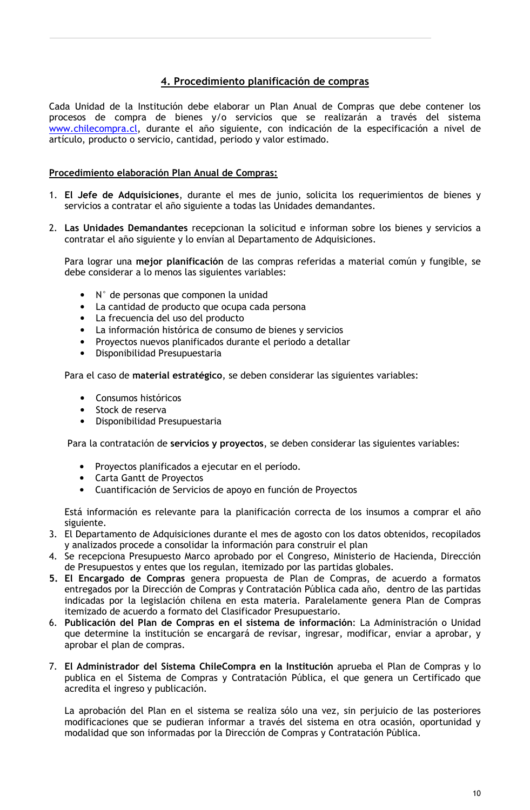## 4. Procedimiento planificación de compras

Cada Unidad de la Institución debe elaborar un Plan Anual de Compras que debe contener los procesos de compra de bienes y/o servicios que se realizarán a través del sistema www.chilecompra.cl, durante el año siguiente, con indicación de la especificación a nivel de artículo, producto o servicio, cantidad, periodo y valor estimado.

## Procedimiento elaboración Plan Anual de Compras:

- 1. El Jefe de Adquisiciones, durante el mes de junio, solicita los requerimientos de bienes y servicios a contratar el año siguiente a todas las Unidades demandantes.
- 2. Las Unidades Demandantes recepcionan la solicitud e informan sobre los bienes y servicios a contratar el año siguiente y lo envían al Departamento de Adquisiciones.

Para lograr una mejor planificación de las compras referidas a material común y fungible, se debe considerar a lo menos las siguientes variables:

- N° de personas que componen la unidad
- · La cantidad de producto que ocupa cada persona
- La frecuencia del uso del producto
- La información histórica de consumo de bienes y servicios
- Proyectos nuevos planificados durante el periodo a detallar
- Disponibilidad Presupuestaria

Para el caso de material estratégico, se deben considerar las siguientes variables:

- Consumos históricos
- Stock de reserva
- Disponibilidad Presupuestaria

Para la contratación de servicios y proyectos, se deben considerar las siguientes variables:

- Proyectos planificados a ejecutar en el período.
- Carta Gantt de Proyectos
- Cuantificación de Servicios de apoyo en función de Proyectos

Está información es relevante para la planificación correcta de los insumos a comprar el año siguiente.

- 3. El Departamento de Adquisiciones durante el mes de agosto con los datos obtenidos, recopilados y analizados procede a consolidar la información para construir el plan
- 4. Se recepciona Presupuesto Marco aprobado por el Congreso, Ministerio de Hacienda, Dirección de Presupuestos y entes que los regulan, itemizado por las partidas globales.
- 5. El Encargado de Compras genera propuesta de Plan de Compras, de acuerdo a formatos entregados por la Dirección de Compras y Contratación Pública cada año, dentro de las partidas indicadas por la legislación chilena en esta materia. Paralelamente genera Plan de Compras itemizado de acuerdo a formato del Clasificador Presupuestario.
- 6. Publicación del Plan de Compras en el sistema de información: La Administración o Unidad que determine la institución se encargará de revisar, ingresar, modificar, enviar a aprobar, y aprobar el plan de compras.
- 7. El Administrador del Sistema ChileCompra en la Institución aprueba el Plan de Compras y lo publica en el Sistema de Compras y Contratación Pública, el que genera un Certificado que acredita el ingreso y publicación.

La aprobación del Plan en el sistema se realiza sólo una vez, sin perjuicio de las posteriores modificaciones que se pudieran informar a través del sistema en otra ocasión, oportunidad y modalidad que son informadas por la Dirección de Compras y Contratación Pública.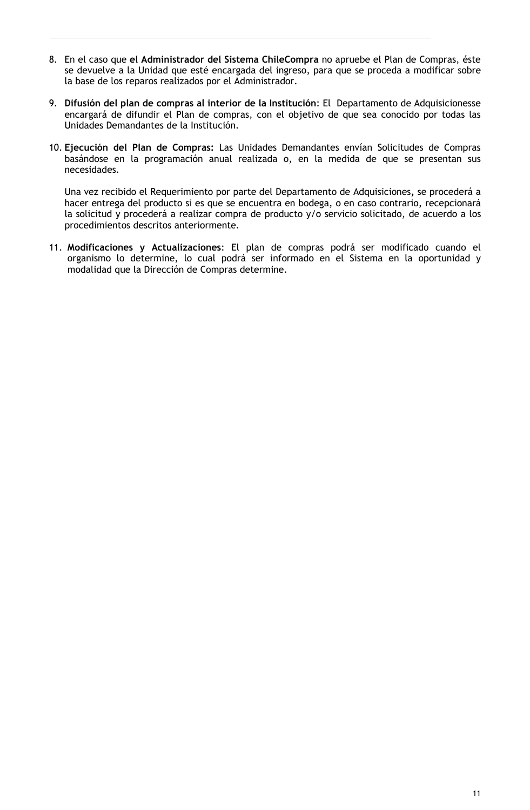- 8. En el caso que el Administrador del Sistema ChileCompra no apruebe el Plan de Compras, éste se devuelve a la Unidad que esté encargada del ingreso, para que se proceda a modificar sobre la base de los reparos realizados por el Administrador.
- 9. Difusión del plan de compras al interior de la Institución: El Departamento de Adquisicionesse encargará de difundir el Plan de compras, con el objetivo de que sea conocido por todas las Unidades Demandantes de la Institución.
- 10. Ejecución del Plan de Compras: Las Unidades Demandantes envían Solicitudes de Compras basándose en la programación anual realizada o, en la medida de que se presentan sus necesidades.

Una vez recibido el Requerimiento por parte del Departamento de Adquisiciones, se procederá a hacer entrega del producto si es que se encuentra en bodega, o en caso contrario, recepcionará la solicitud y procederá a realizar compra de producto y/o servicio solicitado, de acuerdo a los procedimientos descritos anteriormente.

11. Modificaciones y Actualizaciones: El plan de compras podrá ser modificado cuando el organismo lo determine, lo cual podrá ser informado en el Sistema en la oportunidad y modalidad que la Dirección de Compras determine.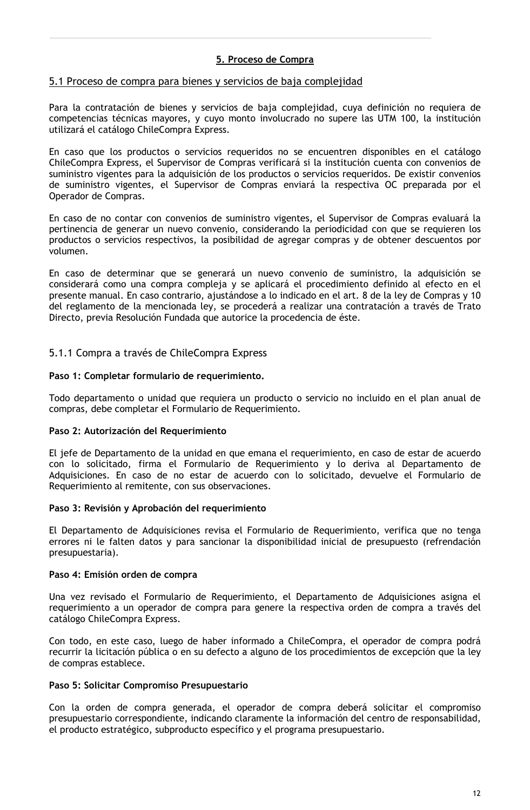## 5. Proceso de Compra

#### 5.1 Proceso de compra para bienes y servicios de baja complejidad

Para la contratación de bienes y servicios de baja complejidad, cuya definición no requiera de competencias técnicas mayores, y cuyo monto involucrado no supere las UTM 100, la institución utilizará el catálogo ChileCompra Express.

En caso que los productos o servicios requeridos no se encuentren disponibles en el catálogo ChileCompra Express, el Supervisor de Compras verificará si la institución cuenta con convenios de suministro vigentes para la adquisición de los productos o servicios requeridos. De existir convenios de suministro vigentes, el Supervisor de Compras enviará la respectiva OC preparada por el Operador de Compras.

En caso de no contar con convenios de suministro vigentes, el Supervisor de Compras evaluará la pertinencia de generar un nuevo convenio, considerando la periodicidad con que se requieren los productos o servicios respectivos, la posibilidad de agregar compras y de obtener descuentos por volumen.

En caso de determinar que se generará un nuevo convenio de suministro, la adquisición se considerará como una compra compleja y se aplicará el procedimiento definido al efecto en el presente manual. En caso contrario, ajustándose a lo indicado en el art. 8 de la ley de Compras y 10 del reglamento de la mencionada ley, se procederá a realizar una contratación a través de Trato Directo, previa Resolución Fundada que autorice la procedencia de éste.

#### 5.1.1 Compra a través de ChileCompra Express

#### Paso 1: Completar formulario de requerimiento.

Todo departamento o unidad que requiera un producto o servicio no incluido en el plan anual de compras, debe completar el Formulario de Requerimiento.

#### Paso 2: Autorización del Requerimiento

El jefe de Departamento de la unidad en que emana el requerimiento, en caso de estar de acuerdo con lo solicitado, firma el Formulario de Requerimiento y lo deriva al Departamento de Adquisiciones. En caso de no estar de acuerdo con lo solicitado, devuelve el Formulario de Requerimiento al remitente, con sus observaciones.

#### Paso 3: Revisión y Aprobación del requerimiento

El Departamento de Adquisiciones revisa el Formulario de Requerimiento, verifica que no tenga errores ni le falten datos y para sancionar la disponibilidad inicial de presupuesto (refrendación presupuestaria).

#### Paso 4: Emisión orden de compra

Una vez revisado el Formulario de Requerimiento, el Departamento de Adquisiciones asigna el requerimiento a un operador de compra para genere la respectiva orden de compra a través del catálogo ChileCompra Express.

Con todo, en este caso, luego de haber informado a ChileCompra, el operador de compra podrá recurrir la licitación pública o en su defecto a alguno de los procedimientos de excepción que la ley de compras establece.

#### Paso 5: Solicitar Compromiso Presupuestario

Con la orden de compra generada, el operador de compra deberá solicitar el compromiso presupuestario correspondiente, indicando claramente la información del centro de responsabilidad, el producto estratégico, subproducto específico y el programa presupuestario.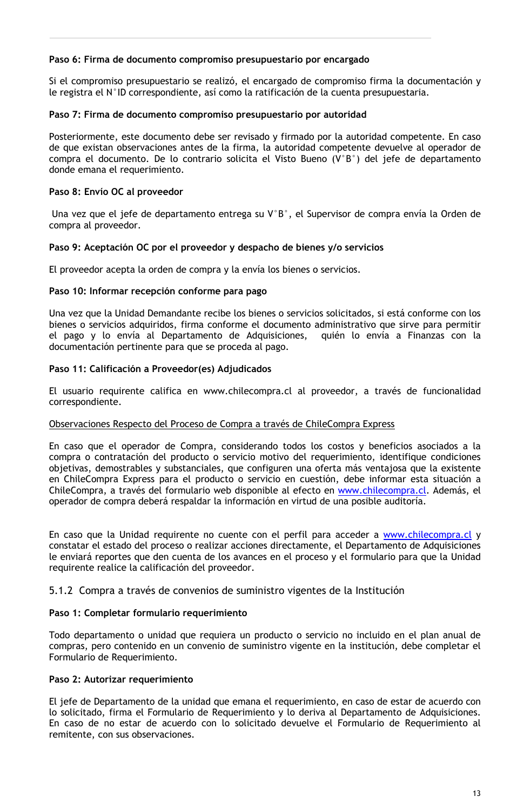#### Paso 6: Firma de documento compromiso presupuestario por encargado

Si el compromiso presupuestario se realizó, el encargado de compromiso firma la documentación y le registra el N°ID correspondiente, así como la ratificación de la cuenta presupuestaria.

#### Paso 7: Firma de documento compromiso presupuestario por autoridad

Posteriormente, este documento debe ser revisado y firmado por la autoridad competente. En caso de que existan observaciones antes de la firma, la autoridad competente devuelve al operador de compra el documento. De lo contrario solicita el Visto Bueno (V°B°) del jefe de departamento donde emana el requerimiento.

#### Paso 8: Envío OC al proveedor

Una vez que el jefe de departamento entrega su V°B°, el Supervisor de compra envía la Orden de compra al proveedor.

#### Paso 9: Aceptación OC por el proveedor y despacho de bienes y/o servicios

El proveedor acepta la orden de compra y la envía los bienes o servicios.

#### Paso 10: Informar recepción conforme para pago

Una vez que la Unidad Demandante recibe los bienes o servicios solicitados, si está conforme con los bienes o servicios adquiridos, firma conforme el documento administrativo que sirve para permitir el pago y lo envía al Departamento de Adquisiciones, quién lo envía a Finanzas con la documentación pertinente para que se proceda al pago.

#### Paso 11: Calificación a Proveedor(es) Adjudicados

El usuario requirente califica en www.chilecompra.cl al proveedor, a través de funcionalidad correspondiente.

#### Observaciones Respecto del Proceso de Compra a través de ChileCompra Express

En caso que el operador de Compra, considerando todos los costos y beneficios asociados a la compra o contratación del producto o servicio motivo del requerimiento, identifique condiciones objetivas, demostrables y substanciales, que configuren una oferta más ventajosa que la existente en ChileCompra Express para el producto o servicio en cuestión, debe informar esta situación a ChileCompra, a través del formulario web disponible al efecto en www.chilecompra.cl. Además, el operador de compra deberá respaldar la información en virtud de una posible auditoría.

En caso que la Unidad requirente no cuente con el perfil para acceder a www.chilecompra.cl y constatar el estado del proceso o realizar acciones directamente, el Departamento de Adquisiciones le enviará reportes que den cuenta de los avances en el proceso y el formulario para que la Unidad requirente realice la calificación del proveedor.

#### 5.1.2 Compra a través de convenios de suministro vigentes de la Institución

#### Paso 1: Completar formulario requerimiento

Todo departamento o unidad que requiera un producto o servicio no incluido en el plan anual de compras, pero contenido en un convenio de suministro vigente en la institución, debe completar el Formulario de Requerimiento.

#### Paso 2: Autorizar requerimiento

El jefe de Departamento de la unidad que emana el requerimiento, en caso de estar de acuerdo con lo solicitado, firma el Formulario de Requerimiento y lo deriva al Departamento de Adquisiciones. En caso de no estar de acuerdo con lo solicitado devuelve el Formulario de Requerimiento al remitente, con sus observaciones.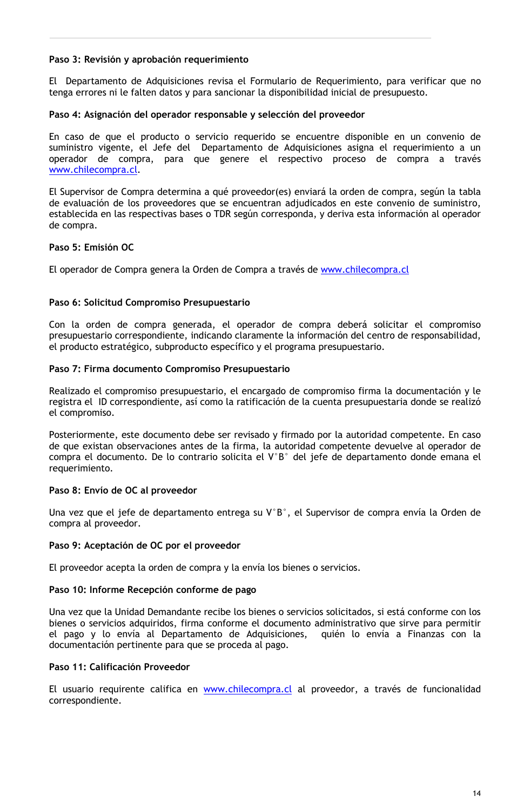#### Paso 3: Revisión y aprobación requerimiento

El Departamento de Adquisiciones revisa el Formulario de Requerimiento, para verificar que no tenga errores ni le falten datos y para sancionar la disponibilidad inicial de presupuesto.

#### Paso 4: Asignación del operador responsable y selección del proveedor

En caso de que el producto o servicio requerido se encuentre disponible en un convenio de suministro vigente, el Jefe del Departamento de Adquisiciones asigna el requerimiento a un operador de compra, para que genere el respectivo proceso de compra a través www.chilecompra.cl.

El Supervisor de Compra determina a qué proveedor(es) enviará la orden de compra, según la tabla de evaluación de los proveedores que se encuentran adjudicados en este convenio de suministro, establecida en las respectivas bases o TDR según corresponda, y deriva esta información al operador de compra.

#### Paso 5: Emisión OC

El operador de Compra genera la Orden de Compra a través de www.chilecompra.cl

#### Paso 6: Solicitud Compromiso Presupuestario

Con la orden de compra generada, el operador de compra deberá solicitar el compromiso presupuestario correspondiente, indicando claramente la información del centro de responsabilidad, el producto estratégico, subproducto específico y el programa presupuestario.

#### Paso 7: Firma documento Compromiso Presupuestario

Realizado el compromiso presupuestario, el encargado de compromiso firma la documentación y le registra el ID correspondiente, así como la ratificación de la cuenta presupuestaria donde se realizó el compromiso.

Posteriormente, este documento debe ser revisado y firmado por la autoridad competente. En caso de que existan observaciones antes de la firma, la autoridad competente devuelve al operador de compra el documento. De lo contrario solicita el V°B° del jefe de departamento donde emana el requerimiento.

#### Paso 8: Envío de OC al proveedor

Una vez que el jefe de departamento entrega su  $V^{\circ}B^{\circ}$ , el Supervisor de compra envía la Orden de compra al proveedor.

#### Paso 9: Aceptación de OC por el proveedor

El proveedor acepta la orden de compra y la envía los bienes o servicios.

#### Paso 10: Informe Recepción conforme de pago

Una vez que la Unidad Demandante recibe los bienes o servicios solicitados, si está conforme con los bienes o servicios adquiridos, firma conforme el documento administrativo que sirve para permitir el pago y lo envía al Departamento de Adquisiciones, quién lo envía a Finanzas con la documentación pertinente para que se proceda al pago.

#### Paso 11: Calificación Proveedor

El usuario requirente califica en www.chilecompra.cl al proveedor, a través de funcionalidad correspondiente.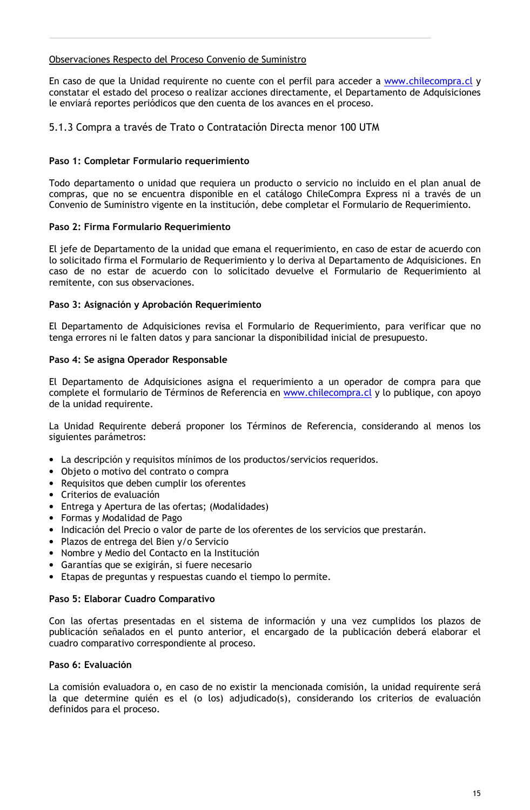#### Observaciones Respecto del Proceso Convenio de Suministro

En caso de que la Unidad requirente no cuente con el perfil para acceder a www.chilecompra.cl y constatar el estado del proceso o realizar acciones directamente, el Departamento de Adquisiciones le enviará reportes periódicos que den cuenta de los avances en el proceso.

## 5.1.3 Compra a través de Trato o Contratación Directa menor 100 UTM

#### Paso 1: Completar Formulario requerimiento

Todo departamento o unidad que requiera un producto o servicio no incluido en el plan anual de compras, que no se encuentra disponible en el catálogo ChileCompra Express ni a través de un Convenio de Suministro vigente en la institución, debe completar el Formulario de Requerimiento.

#### Paso 2: Firma Formulario Requerimiento

El jefe de Departamento de la unidad que emana el requerimiento, en caso de estar de acuerdo con lo solicitado firma el Formulario de Requerimiento y lo deriva al Departamento de Adquisiciones. En caso de no estar de acuerdo con lo solicitado devuelve el Formulario de Requerimiento al remitente, con sus observaciones.

#### Paso 3: Asignación y Aprobación Requerimiento

El Departamento de Adquisiciones revisa el Formulario de Requerimiento, para verificar que no tenga errores ni le falten datos y para sancionar la disponibilidad inicial de presupuesto.

#### Paso 4: Se asigna Operador Responsable

El Departamento de Adquisiciones asigna el requerimiento a un operador de compra para que complete el formulario de Términos de Referencia en www.chilecompra.cl y lo publique, con apoyo de la unidad requirente.

La Unidad Requirente deberá proponer los Términos de Referencia, considerando al menos los siguientes parámetros:

- La descripción y requisitos mínimos de los productos/servicios requeridos.
- Objeto o motivo del contrato o compra
- Requisitos que deben cumplir los oferentes
- · Criterios de evaluación
- Entrega y Apertura de las ofertas; (Modalidades)
- Formas y Modalidad de Pago
- · Indicación del Precio o valor de parte de los oferentes de los servicios que prestarán.
- Plazos de entrega del Bien y/o Servicio
- Nombre y Medio del Contacto en la Institución
- Garantías que se exigirán, si fuere necesario
- Etapas de preguntas y respuestas cuando el tiempo lo permite.

#### Paso 5: Elaborar Cuadro Comparativo

Con las ofertas presentadas en el sistema de información y una vez cumplidos los plazos de publicación señalados en el punto anterior, el encargado de la publicación deberá elaborar el cuadro comparativo correspondiente al proceso.

#### Paso 6: Evaluación

La comisión evaluadora o, en caso de no existir la mencionada comisión, la unidad requirente será la que determine quién es el (o los) adjudicado(s), considerando los criterios de evaluación definidos para el proceso.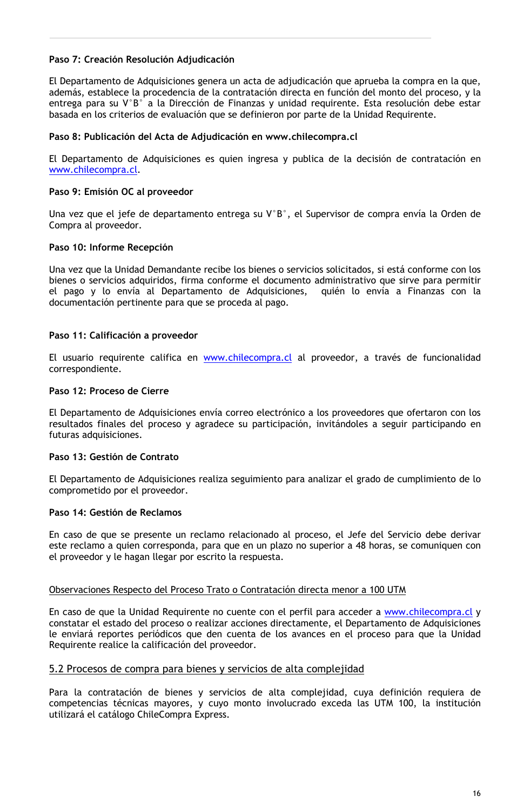#### Paso 7: Creación Resolución Adjudicación

El Departamento de Adquisiciones genera un acta de adjudicación que aprueba la compra en la que, además, establece la procedencia de la contratación directa en función del monto del proceso, y la entrega para su V°B° a la Dirección de Finanzas y unidad requirente. Esta resolución debe estar basada en los criterios de evaluación que se definieron por parte de la Unidad Requirente.

#### Paso 8: Publicación del Acta de Adjudicación en www.chilecompra.cl

El Departamento de Adquisiciones es quien ingresa y publica de la decisión de contratación en www.chilecompra.cl.

#### Paso 9: Emisión OC al proveedor

Una vez que el jefe de departamento entrega su V°B°, el Supervisor de compra envía la Orden de Compra al proveedor.

#### Paso 10: Informe Recepción

Una vez que la Unidad Demandante recibe los bienes o servicios solicitados, si está conforme con los bienes o servicios adquiridos, firma conforme el documento administrativo que sirve para permitir el pago y lo envía al Departamento de Adquisiciones, quién lo envía a Finanzas con la documentación pertinente para que se proceda al pago.

#### Paso 11: Calificación a proveedor

El usuario requirente califica en www.chilecompra.cl al proveedor, a través de funcionalidad correspondiente.

#### Paso 12: Proceso de Cierre

El Departamento de Adquisiciones envía correo electrónico a los proveedores que ofertaron con los resultados finales del proceso y agradece su participación, invitándoles a seguir participando en futuras adquisiciones.

#### Paso 13: Gestión de Contrato

El Departamento de Adquisiciones realiza seguimiento para analizar el grado de cumplimiento de lo comprometido por el proveedor.

#### Paso 14: Gestión de Reclamos

En caso de que se presente un reclamo relacionado al proceso, el Jefe del Servicio debe derivar este reclamo a quien corresponda, para que en un plazo no superior a 48 horas, se comuniquen con el proveedor y le hagan llegar por escrito la respuesta.

#### Observaciones Respecto del Proceso Trato o Contratación directa menor a 100 UTM

En caso de que la Unidad Requirente no cuente con el perfil para acceder a www.chilecompra.cl y constatar el estado del proceso o realizar acciones directamente, el Departamento de Adquisiciones le enviará reportes periódicos que den cuenta de los avances en el proceso para que la Unidad Requirente realice la calificación del proveedor.

#### 5.2 Procesos de compra para bienes y servicios de alta complejidad

Para la contratación de bienes y servicios de alta complejidad, cuya definición requiera de competencias técnicas mayores, y cuyo monto involucrado exceda las UTM 100, la institución utilizará el catálogo ChileCompra Express.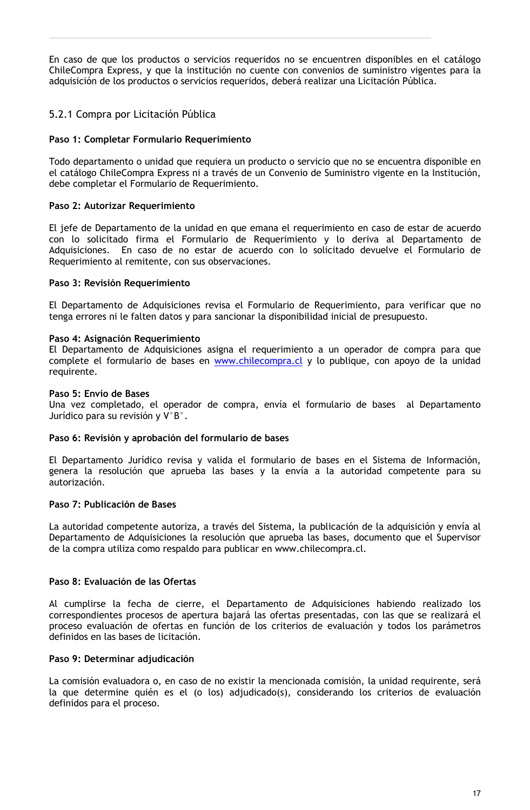En caso de que los productos o servicios requeridos no se encuentren disponibles en el catálogo ChileCompra Express, y que la institución no cuente con convenios de suministro vigentes para la adquisición de los productos o servicios requeridos, deberá realizar una Licitación Pública.

## 5.2.1 Compra por Licitación Pública

#### Paso 1: Completar Formulario Requerimiento

Todo departamento o unidad que requiera un producto o servicio que no se encuentra disponible en el catálogo ChileCompra Express ni a través de un Convenio de Suministro vigente en la Institución, debe completar el Formulario de Requerimiento.

#### Paso 2: Autorizar Requerimiento

El jefe de Departamento de la unidad en que emana el requerimiento en caso de estar de acuerdo con lo solicitado firma el Formulario de Requerimiento y lo deriva al Departamento de Adquisiciones. En caso de no estar de acuerdo con lo solicitado devuelve el Formulario de Requerimiento al remitente, con sus observaciones.

#### Paso 3: Revisión Requerimiento

El Departamento de Adquisiciones revisa el Formulario de Requerimiento, para verificar que no tenga errores ni le falten datos y para sancionar la disponibilidad inicial de presupuesto.

#### Paso 4: Asignación Requerimiento

El Departamento de Adquisiciones asigna el requerimiento a un operador de compra para que complete el formulario de bases en www.chilecompra.cl y lo publique, con apoyo de la unidad requirente.

#### Paso 5: Envío de Bases

Una vez completado, el operador de compra, envía el formulario de bases al Departamento Jurídico para su revisión y V°B°.

#### Paso 6: Revisión y aprobación del formulario de bases

El Departamento Jurídico revisa y valida el formulario de bases en el Sistema de Información, genera la resolución que aprueba las bases y la envía a la autoridad competente para su autorización.

#### Paso 7: Publicación de Bases

La autoridad competente autoriza, a través del Sistema, la publicación de la adquisición y envía al Departamento de Adquisiciones la resolución que aprueba las bases, documento que el Supervisor de la compra utiliza como respaldo para publicar en www.chilecompra.cl.

#### Paso 8: Evaluación de las Ofertas

Al cumplirse la fecha de cierre, el Departamento de Adquisiciones habiendo realizado los correspondientes procesos de apertura bajará las ofertas presentadas, con las que se realizará el proceso evaluación de ofertas en función de los criterios de evaluación y todos los parámetros definidos en las bases de licitación.

#### Paso 9: Determinar adjudicación

La comisión evaluadora o, en caso de no existir la mencionada comisión, la unidad requirente, será la que determine quién es el (o los) adjudicado(s), considerando los criterios de evaluación definidos para el proceso.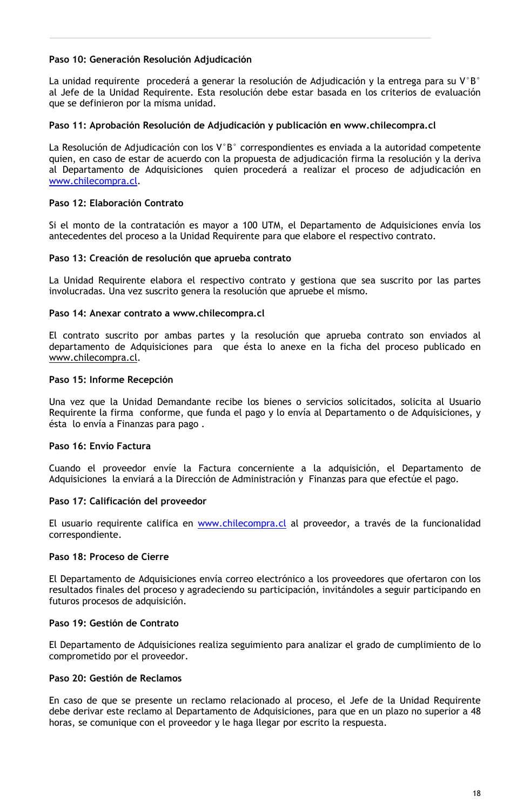#### Paso 10: Generación Resolución Adjudicación

La unidad requirente procederá a generar la resolución de Adjudicación y la entrega para su  $V^{\circ}B^{\circ}$ al Jefe de la Unidad Requirente. Esta resolución debe estar basada en los criterios de evaluación que se definieron por la misma unidad.

#### Paso 11: Aprobación Resolución de Adjudicación y publicación en www.chilecompra.cl

La Resolución de Adjudicación con los V°B° correspondientes es enviada a la autoridad competente quien, en caso de estar de acuerdo con la propuesta de adjudicación firma la resolución y la deriva al Departamento de Adquisiciones quien procederá a realizar el proceso de adjudicación en www.chilecompra.cl.

#### Paso 12: Elaboración Contrato

Si el monto de la contratación es mayor a 100 UTM, el Departamento de Adquisiciones envía los antecedentes del proceso a la Unidad Requirente para que elabore el respectivo contrato.

#### Paso 13: Creación de resolución que aprueba contrato

La Unidad Requirente elabora el respectivo contrato y gestiona que sea suscrito por las partes involucradas. Una vez suscrito genera la resolución que apruebe el mismo.

#### Paso 14: Anexar contrato a www.chilecompra.cl

El contrato suscrito por ambas partes y la resolución que aprueba contrato son enviados al departamento de Adquisiciones para que ésta lo anexe en la ficha del proceso publicado en www.chilecompra.cl.

#### Paso 15: Informe Recepción

Una vez que la Unidad Demandante recibe los bienes o servicios solicitados, solicita al Usuario Requirente la firma conforme, que funda el pago y lo envía al Departamento o de Adquisiciones, y ésta lo envía a Finanzas para pago.

#### Paso 16: Envío Factura

Cuando el proveedor envíe la Factura concerniente a la adquisición, el Departamento de Adquisiciones la enviará a la Dirección de Administración y Finanzas para que efectúe el pago.

#### Paso 17: Calificación del proveedor

El usuario requirente califica en www.chilecompra.cl al proveedor, a través de la funcionalidad correspondiente.

#### Paso 18: Proceso de Cierre

El Departamento de Adquisiciones envía correo electrónico a los proveedores que ofertaron con los resultados finales del proceso y agradeciendo su participación, invitándoles a seguir participando en futuros procesos de adquisición.

#### Paso 19: Gestión de Contrato

El Departamento de Adquisiciones realiza seguimiento para analizar el grado de cumplimiento de lo comprometido por el proveedor.

#### Paso 20: Gestión de Reclamos

En caso de que se presente un reclamo relacionado al proceso, el Jefe de la Unidad Requirente debe derivar este reclamo al Departamento de Adquisiciones, para que en un plazo no superior a 48 horas, se comunique con el proveedor y le haga llegar por escrito la respuesta.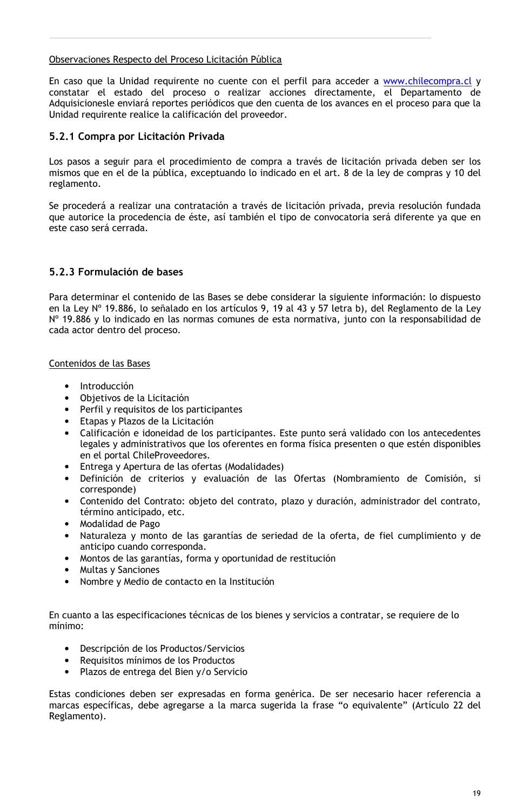#### Observaciones Respecto del Proceso Licitación Pública

En caso que la Unidad requirente no cuente con el perfil para acceder a www.chilecompra.cl y constatar el estado del proceso o realizar acciones directamente, el Departamento de Adquisicionesle enviará reportes periódicos que den cuenta de los avances en el proceso para que la Unidad requirente realice la calificación del proveedor.

#### 5.2.1 Compra por Licitación Privada

Los pasos a seguir para el procedimiento de compra a través de licitación privada deben ser los mismos que en el de la pública, exceptuando lo indicado en el art. 8 de la ley de compras y 10 del reglamento.

Se procederá a realizar una contratación a través de licitación privada, previa resolución fundada que autorice la procedencia de éste, así también el tipo de convocatoria será diferente ya que en este caso será cerrada.

## 5.2.3 Formulación de bases

Para determinar el contenido de las Bases se debe considerar la siguiente información: lo dispuesto en la Ley Nº 19.886, lo señalado en los artículos 9, 19 al 43 y 57 letra b), del Reglamento de la Ley Nº 19.886 y lo indicado en las normas comunes de esta normativa, junto con la responsabilidad de cada actor dentro del proceso.

#### Contenidos de las Bases

- · Introducción
- Objetivos de la Licitación
- Perfil y requisitos de los participantes
- Etapas y Plazos de la Licitación
- Calificación e idoneidad de los participantes. Este punto será validado con los antecedentes legales y administrativos que los oferentes en forma física presenten o que estén disponibles en el portal ChileProveedores.
- Entrega y Apertura de las ofertas (Modalidades)
- · Definición de criterios y evaluación de las Ofertas (Nombramiento de Comisión, si corresponde)
- · Contenido del Contrato: objeto del contrato, plazo y duración, administrador del contrato, término anticipado, etc.
- Modalidad de Pago
- · Naturaleza y monto de las garantías de seriedad de la oferta, de fiel cumplimiento y de anticipo cuando corresponda.
- · Montos de las garantías, forma y oportunidad de restitución
- Multas y Sanciones
- Nombre y Medio de contacto en la Institución

En cuanto a las especificaciones técnicas de los bienes y servicios a contratar, se requiere de lo mínimo:

- Descripción de los Productos/Servicios
- Requisitos mínimos de los Productos
- Plazos de entrega del Bien y/o Servicio

Estas condiciones deben ser expresadas en forma genérica. De ser necesario hacer referencia a marcas específicas, debe agregarse a la marca sugerida la frase "o equivalente" (Artículo 22 del Reglamento).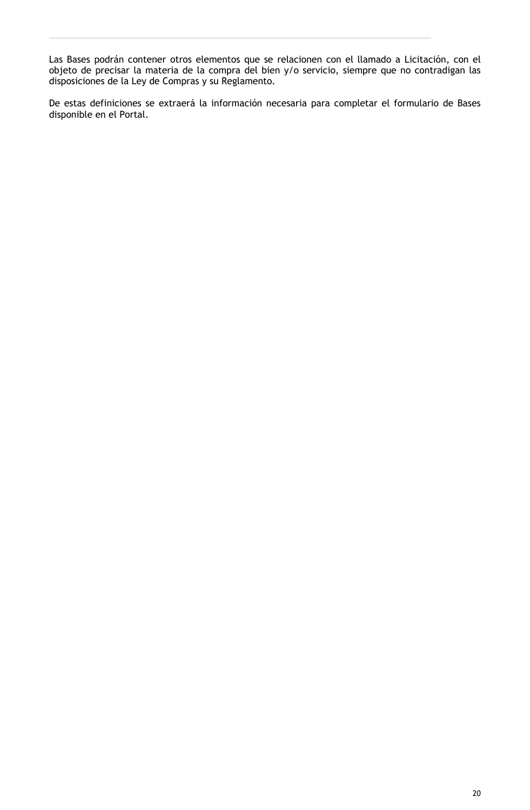Las Bases podrán contener otros elementos que se relacionen con el llamado a Licitación, con el objeto de precisar la materia de la compra del bien y/o servicio, siempre que no contradigan las disposiciones de la Ley de Compras y su Reglamento.

De estas definiciones se extraerá la información necesaria para completar el formulario de Bases disponible en el Portal.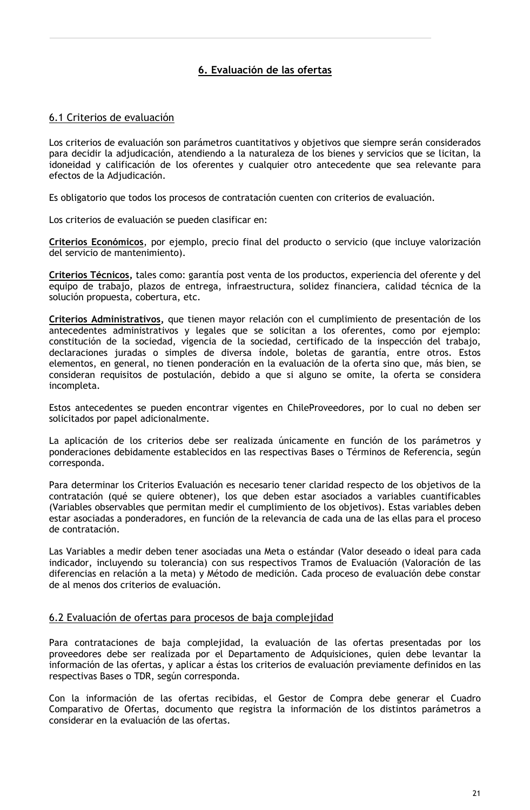## 6. Evaluación de las ofertas

## 6.1 Criterios de evaluación

Los criterios de evaluación son parámetros cuantitativos y objetivos que siempre serán considerados para decidir la adjudicación, atendiendo a la naturaleza de los bienes y servicios que se licitan, la idoneidad y calificación de los oferentes y cualquier otro antecedente que sea relevante para efectos de la Adjudicación.

Es obligatorio que todos los procesos de contratación cuenten con criterios de evaluación.

Los criterios de evaluación se pueden clasificar en:

Criterios Económicos, por ejemplo, precio final del producto o servicio (que incluye valorización del servicio de mantenimiento).

Criterios Técnicos, tales como: garantía post venta de los productos, experiencia del oferente y del equipo de trabajo, plazos de entrega, infraestructura, solidez financiera, calidad técnica de la solución propuesta, cobertura, etc.

Criterios Administrativos, que tienen mayor relación con el cumplimiento de presentación de los antecedentes administrativos y legales que se solicitan a los oferentes, como por ejemplo: constitución de la sociedad, vigencia de la sociedad, certificado de la inspección del trabajo, declaraciones juradas o simples de diversa índole, boletas de garantía, entre otros. Estos elementos, en general, no tienen ponderación en la evaluación de la oferta sino que, más bien, se consideran requisitos de postulación, debido a que si alguno se omite, la oferta se considera incompleta.

Estos antecedentes se pueden encontrar vigentes en ChileProveedores, por lo cual no deben ser solicitados por papel adicionalmente.

La aplicación de los criterios debe ser realizada únicamente en función de los parámetros y ponderaciones debidamente establecidos en las respectivas Bases o Términos de Referencia, según corresponda.

Para determinar los Criterios Evaluación es necesario tener claridad respecto de los objetivos de la contratación (qué se quiere obtener), los que deben estar asociados a variables cuantificables (Variables observables que permitan medir el cumplimiento de los objetivos). Estas variables deben estar asociadas a ponderadores, en función de la relevancia de cada una de las ellas para el proceso de contratación.

Las Variables a medir deben tener asociadas una Meta o estándar (Valor deseado o ideal para cada indicador, incluyendo su tolerancia) con sus respectivos Tramos de Evaluación (Valoración de las diferencias en relación a la meta) y Método de medición. Cada proceso de evaluación debe constar de al menos dos criterios de evaluación.

#### 6.2 Evaluación de ofertas para procesos de baja complejidad

Para contrataciones de baja complejidad, la evaluación de las ofertas presentadas por los proveedores debe ser realizada por el Departamento de Adquisiciones, quien debe levantar la información de las ofertas, y aplicar a éstas los criterios de evaluación previamente definidos en las respectivas Bases o TDR, según corresponda.

Con la información de las ofertas recibidas, el Gestor de Compra debe generar el Cuadro Comparativo de Ofertas, documento que registra la información de los distintos parámetros a considerar en la evaluación de las ofertas.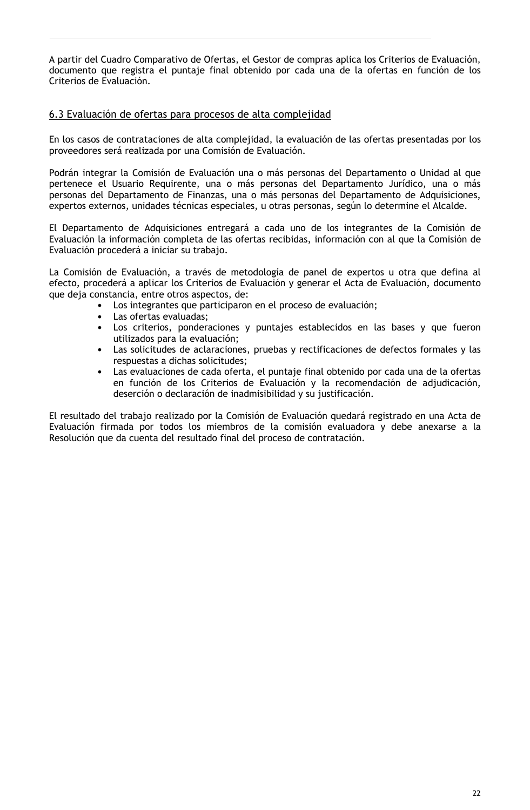A partir del Cuadro Comparativo de Ofertas, el Gestor de compras aplica los Criterios de Evaluación, documento que registra el puntaje final obtenido por cada una de la ofertas en función de los Criterios de Evaluación.

## 6.3 Evaluación de ofertas para procesos de alta complejidad

En los casos de contrataciones de alta complejidad, la evaluación de las ofertas presentadas por los proveedores será realizada por una Comisión de Evaluación.

Podrán integrar la Comisión de Evaluación una o más personas del Departamento o Unidad al que pertenece el Usuario Requirente, una o más personas del Departamento Jurídico, una o más personas del Departamento de Finanzas, una o más personas del Departamento de Adquisiciones, expertos externos, unidades técnicas especiales, u otras personas, según lo determine el Alcalde.

El Departamento de Adquisiciones entregará a cada uno de los integrantes de la Comisión de Evaluación la información completa de las ofertas recibidas, información con al que la Comisión de Evaluación procederá a iniciar su trabajo.

La Comisión de Evaluación, a través de metodología de panel de expertos u otra que defina al efecto, procederá a aplicar los Criterios de Evaluación y generar el Acta de Evaluación, documento que deja constancia, entre otros aspectos, de:

- Los integrantes que participaron en el proceso de evaluación;
- Las ofertas evaluadas;
- Los criterios, ponderaciones y puntajes establecidos en las bases y que fueron utilizados para la evaluación;
- Las solicitudes de aclaraciones, pruebas y rectificaciones de defectos formales y las respuestas a dichas solicitudes;
- Las evaluaciones de cada oferta, el puntaje final obtenido por cada una de la ofertas en función de los Criterios de Evaluación y la recomendación de adjudicación, deserción o declaración de inadmisibilidad y su justificación.

El resultado del trabajo realizado por la Comisión de Evaluación quedará registrado en una Acta de Evaluación firmada por todos los miembros de la comisión evaluadora y debe anexarse a la Resolución que da cuenta del resultado final del proceso de contratación.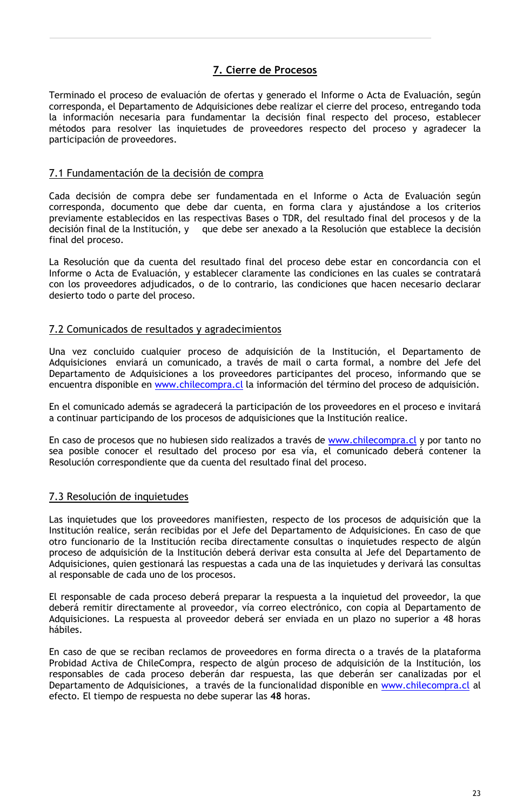## 7. Cierre de Procesos

Terminado el proceso de evaluación de ofertas y generado el Informe o Acta de Evaluación, según corresponda, el Departamento de Adquisiciones debe realizar el cierre del proceso, entregando toda la información necesaria para fundamentar la decisión final respecto del proceso, establecer métodos para resolver las inquietudes de proveedores respecto del proceso y agradecer la participación de proveedores.

#### 7.1 Fundamentación de la decisión de compra

Cada decisión de compra debe ser fundamentada en el Informe o Acta de Evaluación según corresponda, documento que debe dar cuenta, en forma clara y ajustándose a los criterios previamente establecidos en las respectivas Bases o TDR, del resultado final del procesos y de la  $\alpha$  decisión final de la Institución, y que debe ser anexado a la Resolución que establece la decisión final del proceso.

La Resolución que da cuenta del resultado final del proceso debe estar en concordancia con el Informe o Acta de Evaluación, y establecer claramente las condiciones en las cuales se contratará con los proveedores adjudicados, o de lo contrario, las condiciones que hacen necesario declarar desierto todo o parte del proceso.

## 7.2 Comunicados de resultados y agradecimientos

Una vez concluido cualquier proceso de adquisición de la Institución, el Departamento de Adquisiciones enviará un comunicado, a través de mail o carta formal, a nombre del Jefe del Departamento de Adquisiciones a los proveedores participantes del proceso, informando que se encuentra disponible en www.chilecompra.cl la información del término del proceso de adquisición.

En el comunicado además se agradecerá la participación de los proveedores en el proceso e invitará a continuar participando de los procesos de adquisiciones que la Institución realice.

En caso de procesos que no hubiesen sido realizados a través de www.chilecompra.cl y por tanto no sea posible conocer el resultado del proceso por esa vía, el comunicado deberá contener la Resolución correspondiente que da cuenta del resultado final del proceso.

## 7.3 Resolución de inquietudes

Las inquietudes que los proveedores manifiesten, respecto de los procesos de adquisición que la Institución realice, serán recibidas por el Jefe del Departamento de Adquisiciones. En caso de que otro funcionario de la Institución reciba directamente consultas o inquietudes respecto de algún proceso de adquisición de la Institución deberá derivar esta consulta al Jefe del Departamento de Adquisiciones, quien gestionará las respuestas a cada una de las inquietudes y derivará las consultas al responsable de cada uno de los procesos.

El responsable de cada proceso deberá preparar la respuesta a la inquietud del proveedor, la que deberá remitir directamente al proveedor, vía correo electrónico, con copia al Departamento de Adquisiciones. La respuesta al proveedor deberá ser enviada en un plazo no superior a 48 horas hábiles.

En caso de que se reciban reclamos de proveedores en forma directa o a través de la plataforma Probidad Activa de ChileCompra, respecto de algún proceso de adquisición de la Institución, los responsables de cada proceso deberán dar respuesta, las que deberán ser canalizadas por el Departamento de Adquisiciones, a través de la funcionalidad disponible en www.chilecompra.cl al efecto. El tiempo de respuesta no debe superar las 48 horas.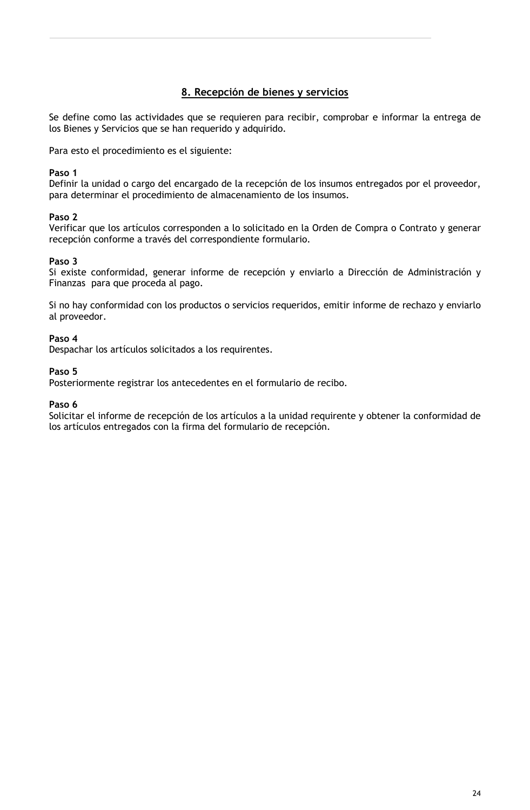## 8. Recepción de bienes y servicios

Se define como las actividades que se requieren para recibir, comprobar e informar la entrega de los Bienes y Servicios que se han requerido y adquirido.

Para esto el procedimiento es el siguiente:

#### Paso 1

Definir la unidad o cargo del encargado de la recepción de los insumos entregados por el proveedor, para determinar el procedimiento de almacenamiento de los insumos.

#### Paso 2

Verificar que los artículos corresponden a lo solicitado en la Orden de Compra o Contrato y generar recepción conforme a través del correspondiente formulario.

#### Paso 3

Si existe conformidad, generar informe de recepción y enviarlo a Dirección de Administración y Finanzas para que proceda al pago.

Si no hay conformidad con los productos o servicios requeridos, emitir informe de rechazo y enviarlo al proveedor.

## Paso 4

Despachar los artículos solicitados a los requirentes.

#### Paso 5

Posteriormente registrar los antecedentes en el formulario de recibo.

#### Paso 6

Solicitar el informe de recepción de los artículos a la unidad requirente y obtener la conformidad de los artículos entregados con la firma del formulario de recepción.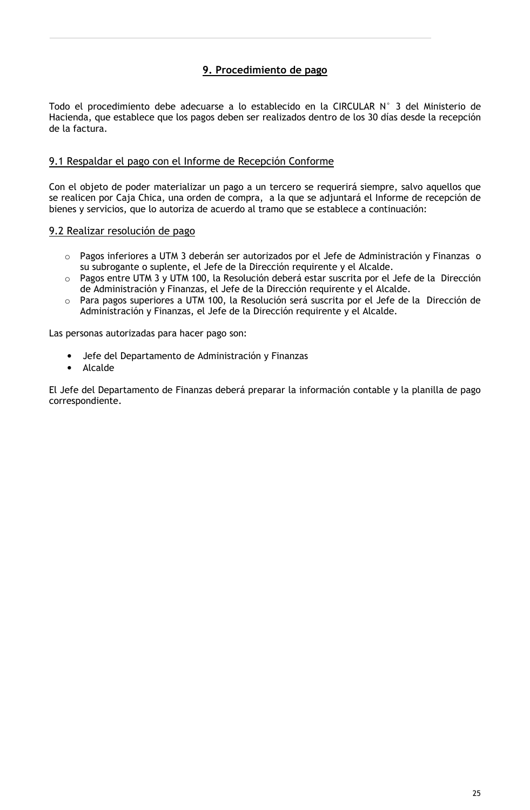## 9. Procedimiento de pago

Todo el procedimiento debe adecuarse a lo establecido en la CIRCULAR N° 3 del Ministerio de Hacienda, que establece que los pagos deben ser realizados dentro de los 30 días desde la recepción de la factura.

## 9.1 Respaldar el pago con el Informe de Recepción Conforme

Con el objeto de poder materializar un pago a un tercero se requerirá siempre, salvo aquellos que se realicen por Caja Chica, una orden de compra, a la que se adjuntará el Informe de recepción de bienes y servicios, que lo autoriza de acuerdo al tramo que se establece a continuación:

## 9.2 Realizar resolución de pago

- o Pagos inferiores a UTM 3 deberán ser autorizados por el Jefe de Administración y Finanzas o su subrogante o suplente, el Jefe de la Dirección requirente y el Alcalde.
- $\circ$  Pagos entre UTM 3 y UTM 100, la Resolución deberá estar suscrita por el Jefe de la Dirección de Administración y Finanzas, el Jefe de la Dirección requirente y el Alcalde.
- $\circ$   $\,$  Para pagos superiores a UTM 100, la Resolución será suscrita por el Jefe de la  $\,$  Dirección de Administración y Finanzas, el Jefe de la Dirección requirente y el Alcalde.

Las personas autorizadas para hacer pago son:

- Jefe del Departamento de Administración y Finanzas
- Alcalde

El Jefe del Departamento de Finanzas deberá preparar la información contable y la planilla de pago correspondiente.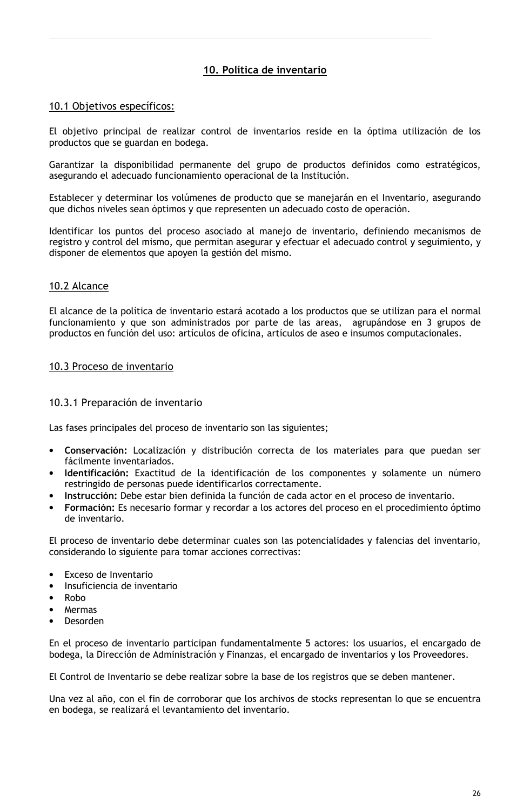## 10. Política de inventario

#### 10.1 Objetivos específicos:

El objetivo principal de realizar control de inventarios reside en la óptima utilización de los productos que se guardan en bodega.

Garantizar la disponibilidad permanente del grupo de productos definidos como estratégicos, asegurando el adecuado funcionamiento operacional de la Institución.

Establecer y determinar los volúmenes de producto que se manejarán en el Inventario, asegurando que dichos niveles sean óptimos y que representen un adecuado costo de operación.

Identificar los puntos del proceso asociado al manejo de inventario, definiendo mecanismos de registro y control del mismo, que permitan asegurar y efectuar el adecuado control y seguimiento, y disponer de elementos que apoyen la gestión del mismo.

## 10.2 Alcance

El alcance de la política de inventario estará acotado a los productos que se utilizan para el normal funcionamiento y que son administrados por parte de las areas, agrupándose en 3 grupos de productos en función del uso: artículos de oficina, artículos de aseo e insumos computacionales.

## 10.3 Proceso de inventario

#### 10.3.1 Preparación de inventario

Las fases principales del proceso de inventario son las siguientes;

- Conservación: Localización y distribución correcta de los materiales para que puedan ser fácilmente inventariados.
- Identificación: Exactitud de la identificación de los componentes y solamente un número restringido de personas puede identificarlos correctamente.
- Instrucción: Debe estar bien definida la función de cada actor en el proceso de inventario.
- Formación: Es necesario formar y recordar a los actores del proceso en el procedimiento óptimo de inventario.

El proceso de inventario debe determinar cuales son las potencialidades y falencias del inventario, considerando lo siguiente para tomar acciones correctivas:

- Exceso de Inventario  $\bullet$
- Insuficiencia de inventario
- Robo
- Mermas
- Desorden

En el proceso de inventario participan fundamentalmente 5 actores: los usuarios, el encargado de bodega, la Dirección de Administración y Finanzas, el encargado de inventarios y los Proveedores.

El Control de Inventario se debe realizar sobre la base de los registros que se deben mantener.

Una vez al año, con el fin de corroborar que los archivos de stocks representan lo que se encuentra en bodega, se realizará el levantamiento del inventario.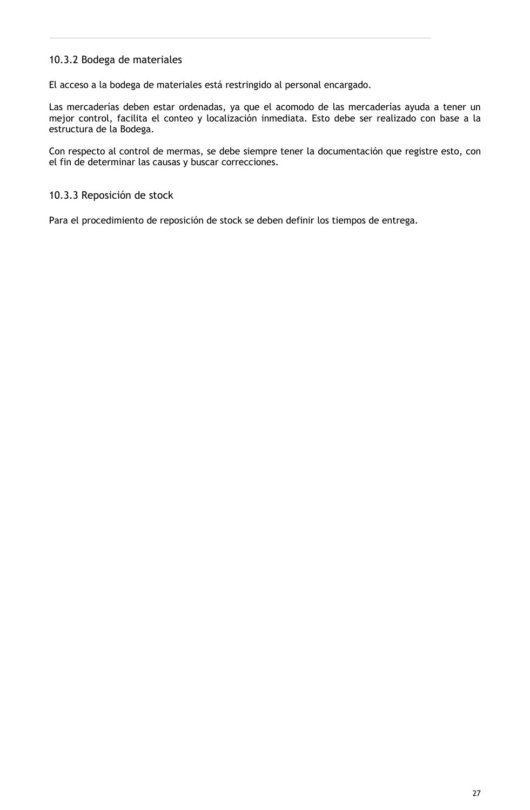## 10.3.2 Bodega de materiales

El acceso a la bodega de materiales está restringido al personal encargado.

Las mercaderías deben estar ordenadas, ya que el acomodo de las mercaderías ayuda a tener un mejor control, facilita el conteo y localización inmediata. Esto debe ser realizado con base a la estructura de la Bodega.

Con respecto al control de mermas, se debe siempre tener la documentación que registre esto, con el fin de determinar las causas y buscar correcciones.

## 10.3.3 Reposición de stock

Para el procedimiento de reposición de stock se deben definir los tiempos de entrega.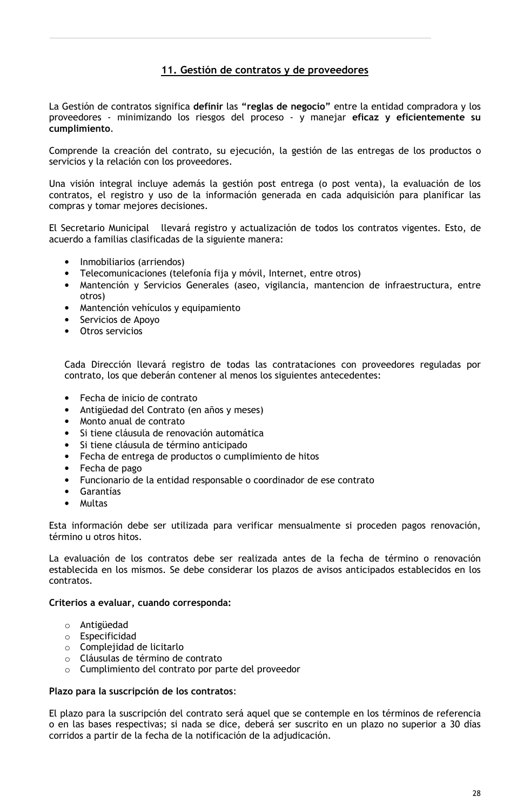## 11. Gestión de contratos y de proveedores

La Gestión de contratos significa definir las "reglas de negocio" entre la entidad compradora y los proveedores - minimizando los riesgos del proceso - y manejar eficaz y eficientemente su cumplimiento.

Comprende la creación del contrato, su ejecución, la gestión de las entregas de los productos o servicios y la relación con los proveedores.

Una visión integral incluye además la gestión post entrega (o post venta), la evaluación de los contratos, el registro y uso de la información generada en cada adquisición para planificar las compras y tomar mejores decisiones.

El Secretario Municipal llevará registro y actualización de todos los contratos vigentes. Esto, de acuerdo a familias clasificadas de la siguiente manera:

- Inmobiliarios (arriendos)
- Telecomunicaciones (telefonía fija y móvil, Internet, entre otros)
- · Mantención y Servicios Generales (aseo, vigilancia, mantencion de infraestructura, entre otros)
- Mantención vehículos y equipamiento
- Servicios de Apoyo
- Otros servicios

Cada Dirección llevará registro de todas las contrataciones con proveedores reguladas por contrato, los que deberán contener al menos los siguientes antecedentes:

- Fecha de inicio de contrato  $\bullet$
- Antigüedad del Contrato (en años y meses)
- Monto anual de contrato
- Si tiene cláusula de renovación automática
- Si tiene cláusula de término anticipado
- Fecha de entrega de productos o cumplimiento de hitos
- $\bullet$  Fecha de pago
- Funcionario de la entidad responsable o coordinador de ese contrato
- Garantías  $\bullet$
- Multas

Esta información debe ser utilizada para verificar mensualmente si proceden pagos renovación, término u otros hitos.

La evaluación de los contratos debe ser realizada antes de la fecha de término o renovación establecida en los mismos. Se debe considerar los plazos de avisos anticipados establecidos en los contratos.

#### Criterios a evaluar, cuando corresponda:

- o Antigüedad
- o Especificidad
- o Complejidad de licitarlo
- o Cláusulas de término de contrato
- o Cumplimiento del contrato por parte del proveedor

#### Plazo para la suscripción de los contratos:

El plazo para la suscripción del contrato será aquel que se contemple en los términos de referencia o en las bases respectivas; si nada se dice, deberá ser suscrito en un plazo no superior a 30 días corridos a partir de la fecha de la notificación de la adjudicación.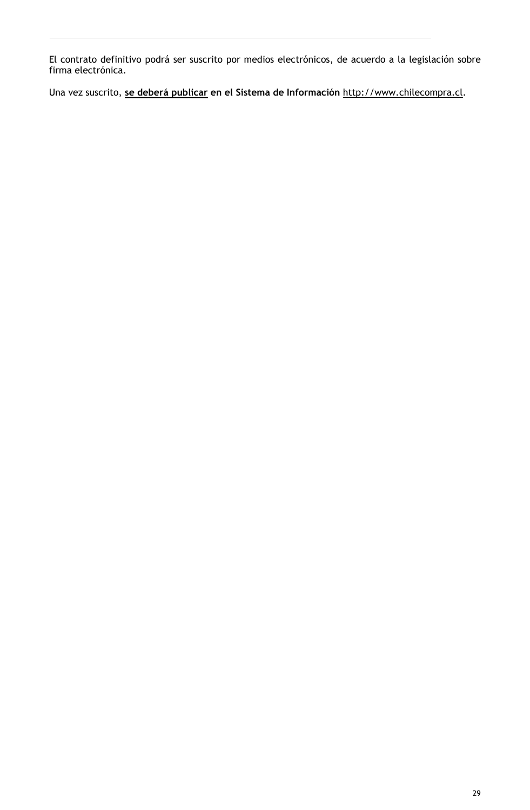El contrato definitivo podrá ser suscrito por medios electrónicos, de acuerdo a la legislación sobre<br>firma electrónica.

Una vez suscrito, se deberá publicar en el Sistema de Información http://www.chilecompra.cl.